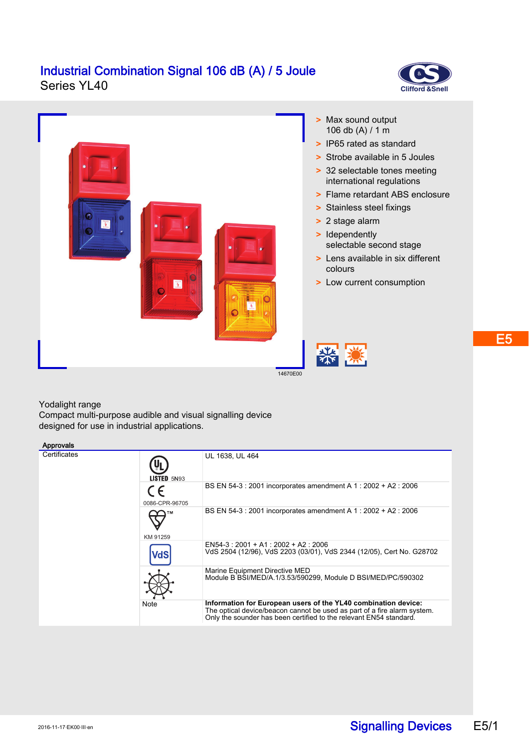



### Yodalight range

Compact multi-purpose audible and visual signalling device designed for use in industrial applications.

### **Approvals**

| <i><b>Tippi oralis</b></i> |                                    |                                                                                                                                                                                                                  |
|----------------------------|------------------------------------|------------------------------------------------------------------------------------------------------------------------------------------------------------------------------------------------------------------|
| Certificates               | <b>LISTED 5N93</b>                 | UL 1638, UL 464                                                                                                                                                                                                  |
|                            | $\in$ $\epsilon$<br>0086-CPR-96705 | BS EN 54-3 : 2001 incorporates amendment A 1 : 2002 + A2 : 2006                                                                                                                                                  |
|                            | KM 91259                           | BS EN 54-3: 2001 incorporates amendment A 1: 2002 + A2: 2006                                                                                                                                                     |
|                            | <b>VdS</b>                         | $EN54-3: 2001 + A1: 2002 + A2: 2006$<br>VdS 2504 (12/96), VdS 2203 (03/01), VdS 2344 (12/05), Cert No. G28702                                                                                                    |
|                            |                                    | Marine Equipment Directive MED<br>Module B BSI/MED/A 1/3.53/590299, Module D BSI/MED/PC/590302                                                                                                                   |
|                            | Note                               | Information for European users of the YL40 combination device:<br>The optical device/beacon cannot be used as part of a fire alarm system.<br>Only the sounder has been certified to the relevant EN54 standard. |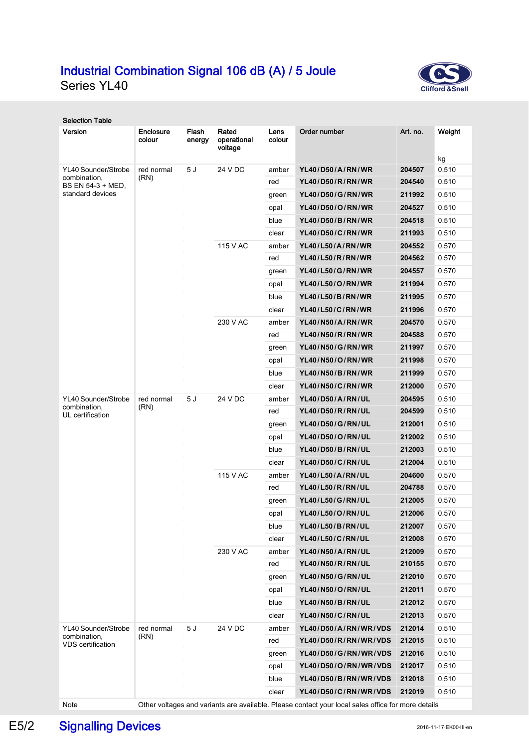

Selection Table

| Version                                                                                                    | Enclosure<br>colour | Flash<br>energy | Rated<br>operational<br>voltage | Lens<br>colour | Order number            | Art. no. | Weight      |
|------------------------------------------------------------------------------------------------------------|---------------------|-----------------|---------------------------------|----------------|-------------------------|----------|-------------|
| YL40 Sounder/Strobe                                                                                        | red normal          | 5J              | 24 V DC                         | amber          | YL40/D50/A/RN/WR        | 204507   | kg<br>0.510 |
| combination,                                                                                               | (RN)                |                 |                                 | red            | YL40/D50/R/RN/WR        | 204540   | 0.510       |
| BS EN 54-3 + MED,<br>standard devices                                                                      |                     |                 | 115 V AC                        | green          | YL40/D50/G/RN/WR        | 211992   | 0.510       |
|                                                                                                            |                     |                 |                                 | opal           | YL40/D50/O/RN/WR        | 204527   | 0.510       |
|                                                                                                            |                     |                 |                                 | blue           | YL40/D50/B/RN/WR        | 204518   | 0.510       |
|                                                                                                            |                     |                 |                                 | clear          | YL40/D50/C/RN/WR        | 211993   | 0.510       |
|                                                                                                            |                     |                 |                                 | amber          | YL40/L50/A/RN/WR        | 204552   | 0.570       |
|                                                                                                            |                     |                 |                                 | red            | YL40/L50/R/RN/WR        | 204562   | 0.570       |
|                                                                                                            |                     |                 |                                 | green          | <b>YL40/L50/G/RN/WR</b> | 204557   | 0.570       |
|                                                                                                            |                     |                 |                                 | opal           | YL40/L50/O/RN/WR        | 211994   | 0.570       |
|                                                                                                            |                     |                 |                                 | blue           | YL40/L50/B/RN/WR        | 211995   | 0.570       |
|                                                                                                            |                     |                 |                                 | clear          | YL40/L50/C/RN/WR        | 211996   | 0.570       |
|                                                                                                            |                     |                 | 230 V AC                        | amber          | YL40/N50/A/RN/WR        | 204570   | 0.570       |
|                                                                                                            |                     |                 |                                 | red            | YL40/N50/R/RN/WR        | 204588   | 0.570       |
|                                                                                                            |                     |                 |                                 | green          | YL40/N50/G/RN/WR        | 211997   | 0.570       |
|                                                                                                            |                     |                 |                                 | opal           | YL40/N50/O/RN/WR        | 211998   | 0.570       |
|                                                                                                            |                     |                 |                                 | blue           | YL40/N50/B/RN/WR        | 211999   | 0.570       |
|                                                                                                            |                     |                 |                                 | clear          | YL40/N50/C/RN/WR        | 212000   | 0.570       |
| <b>YL40 Sounder/Strobe</b>                                                                                 | red normal          | 5 J             | 24 V DC                         | amber          | YL40/D50/A/RN/UL        | 204595   | 0.510       |
| combination,<br>UL certification                                                                           | (RN)                |                 |                                 | red            | YL40/D50/R/RN/UL        | 204599   | 0.510       |
|                                                                                                            |                     |                 |                                 | green          | YL40/D50/G/RN/UL        | 212001   | 0.510       |
|                                                                                                            |                     |                 |                                 | opal           | YL40/D50/O/RN/UL        | 212002   | 0.510       |
|                                                                                                            |                     |                 |                                 | blue           | YL40/D50/B/RN/UL        | 212003   | 0.510       |
|                                                                                                            |                     |                 |                                 | clear          | YL40/D50/C/RN/UL        | 212004   | 0.510       |
|                                                                                                            |                     |                 | 115 V AC                        | amber          | YL40/L50/A/RN/UL        | 204600   | 0.570       |
|                                                                                                            |                     |                 |                                 | red            | YL40/L50/R/RN/UL        | 204788   | 0.570       |
|                                                                                                            |                     |                 |                                 | green          | YL40/L50/G/RN/UL        | 212005   | 0.570       |
|                                                                                                            |                     |                 |                                 | opal           | YL40/L50/O/RN/UL        | 212006   | 0.570       |
|                                                                                                            |                     |                 |                                 | blue           | YL40/L50/B/RN/UL        | 212007   | 0.570       |
|                                                                                                            |                     |                 |                                 | clear          | YL40/L50/C/RN/UL        | 212008   | 0.570       |
|                                                                                                            |                     |                 | 230 V AC                        | amber          | YL40/N50/A/RN/UL        | 212009   | 0.570       |
|                                                                                                            |                     |                 |                                 | red            | YL40/N50/R/RN/UL        | 210155   | 0.570       |
|                                                                                                            |                     |                 |                                 | green          | YL40/N50/G/RN/UL        | 212010   | 0.570       |
|                                                                                                            |                     |                 |                                 | opal           | YL40/N50/O/RN/UL        | 212011   | 0.570       |
|                                                                                                            |                     |                 |                                 | blue           | YL40/N50/B/RN/UL        | 212012   | 0.570       |
|                                                                                                            |                     |                 |                                 | clear          | YL40/N50/C/RN/UL        | 212013   | 0.570       |
| YL40 Sounder/Strobe                                                                                        | red normal<br>(RN)  | 5 J             | 24 V DC                         | amber          | YL40/D50/A/RN/WR/VDS    | 212014   | 0.510       |
| combination,<br><b>VDS</b> certification                                                                   |                     |                 |                                 | red            | YL40/D50/R/RN/WR/VDS    | 212015   | 0.510       |
|                                                                                                            |                     |                 |                                 | green          | YL40/D50/G/RN/WR/VDS    | 212016   | 0.510       |
|                                                                                                            |                     |                 |                                 | opal           | YL40/D50/O/RN/WR/VDS    | 212017   | 0.510       |
|                                                                                                            |                     |                 |                                 | blue           | YL40/D50/B/RN/WR/VDS    | 212018   | 0.510       |
|                                                                                                            |                     |                 |                                 | clear          | YL40/D50/C/RN/WR/VDS    | 212019   | 0.510       |
| Note<br>Other voltages and variants are available. Please contact your local sales office for more details |                     |                 |                                 |                |                         |          |             |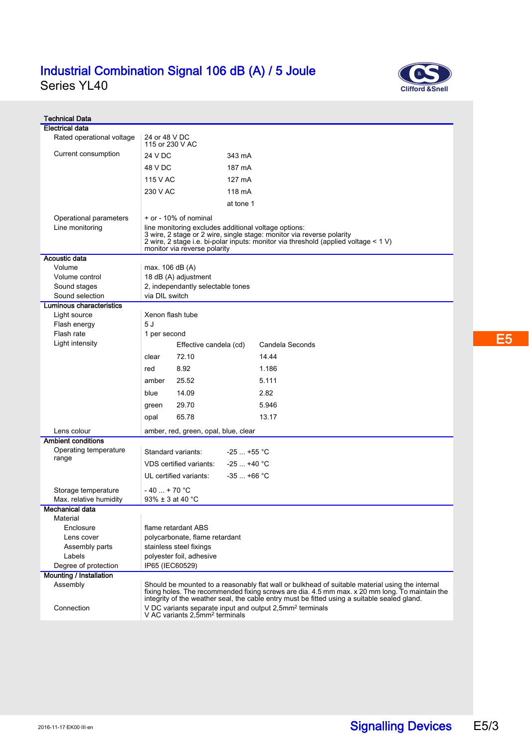

| <b>Technical Data</b>                                        |                                                                                                                                                                                                                                                                                                   |                                   |             |       |  |  |  |
|--------------------------------------------------------------|---------------------------------------------------------------------------------------------------------------------------------------------------------------------------------------------------------------------------------------------------------------------------------------------------|-----------------------------------|-------------|-------|--|--|--|
| Electrical data                                              |                                                                                                                                                                                                                                                                                                   |                                   |             |       |  |  |  |
| Rated operational voltage                                    | 24 or 48 V DC<br>115 or 230 V AC                                                                                                                                                                                                                                                                  |                                   |             |       |  |  |  |
| Current consumption                                          | 24 V DC<br>343 mA                                                                                                                                                                                                                                                                                 |                                   |             |       |  |  |  |
|                                                              | 48 V DC                                                                                                                                                                                                                                                                                           |                                   | 187 mA      |       |  |  |  |
|                                                              | 115 V AC                                                                                                                                                                                                                                                                                          |                                   | 127 mA      |       |  |  |  |
|                                                              | 230 V AC                                                                                                                                                                                                                                                                                          |                                   | 118 mA      |       |  |  |  |
|                                                              |                                                                                                                                                                                                                                                                                                   |                                   | at tone 1   |       |  |  |  |
| Operational parameters                                       | + or - 10% of nominal                                                                                                                                                                                                                                                                             |                                   |             |       |  |  |  |
| Line monitoring                                              | line monitoring excludes additional voltage options:                                                                                                                                                                                                                                              |                                   |             |       |  |  |  |
|                                                              | 3 wire, 2 stage or 2 wire, single stage: monitor via reverse polarity<br>2 wire, 2 stage i.e. bi-polar inputs: monitor via threshold (applied voltage < 1 V)<br>monitor via reverse polarity                                                                                                      |                                   |             |       |  |  |  |
| Acoustic data                                                |                                                                                                                                                                                                                                                                                                   |                                   |             |       |  |  |  |
| Volume                                                       | max. 106 dB (A)                                                                                                                                                                                                                                                                                   |                                   |             |       |  |  |  |
| Volume control                                               | 18 dB (A) adjustment                                                                                                                                                                                                                                                                              |                                   |             |       |  |  |  |
| Sound stages                                                 |                                                                                                                                                                                                                                                                                                   | 2, independantly selectable tones |             |       |  |  |  |
| Sound selection                                              | via DIL switch                                                                                                                                                                                                                                                                                    |                                   |             |       |  |  |  |
| Luminous characteristics                                     |                                                                                                                                                                                                                                                                                                   |                                   |             |       |  |  |  |
| Light source                                                 | Xenon flash tube                                                                                                                                                                                                                                                                                  |                                   |             |       |  |  |  |
| Flash energy                                                 | 5J                                                                                                                                                                                                                                                                                                |                                   |             |       |  |  |  |
| Flash rate                                                   | 1 per second                                                                                                                                                                                                                                                                                      |                                   |             |       |  |  |  |
| Light intensity<br>Candela Seconds<br>Effective candela (cd) |                                                                                                                                                                                                                                                                                                   |                                   |             |       |  |  |  |
|                                                              | clear                                                                                                                                                                                                                                                                                             | 72 10                             |             | 14.44 |  |  |  |
|                                                              | red                                                                                                                                                                                                                                                                                               | 8.92                              |             | 1.186 |  |  |  |
|                                                              | amber                                                                                                                                                                                                                                                                                             | 25.52                             |             | 5.111 |  |  |  |
|                                                              | blue                                                                                                                                                                                                                                                                                              | 14.09                             |             | 2.82  |  |  |  |
|                                                              | green                                                                                                                                                                                                                                                                                             | 29.70                             |             | 5.946 |  |  |  |
|                                                              | opal                                                                                                                                                                                                                                                                                              | 65.78                             |             | 13.17 |  |  |  |
| Lens colour                                                  | amber, red, green, opal, blue, clear                                                                                                                                                                                                                                                              |                                   |             |       |  |  |  |
| <b>Ambient conditions</b>                                    |                                                                                                                                                                                                                                                                                                   |                                   |             |       |  |  |  |
| Operating temperature                                        | Standard variants:<br>$-25$ +55 °C                                                                                                                                                                                                                                                                |                                   |             |       |  |  |  |
| range                                                        |                                                                                                                                                                                                                                                                                                   | VDS certified variants:           | $-25+40 °C$ |       |  |  |  |
|                                                              | $-35+66$ °C<br>UL certified variants:                                                                                                                                                                                                                                                             |                                   |             |       |  |  |  |
| Storage temperature                                          | $-40 + 70$ °C                                                                                                                                                                                                                                                                                     |                                   |             |       |  |  |  |
| Max. relative humidity                                       | 93% $\pm$ 3 at 40 °C                                                                                                                                                                                                                                                                              |                                   |             |       |  |  |  |
| <b>Mechanical data</b>                                       |                                                                                                                                                                                                                                                                                                   |                                   |             |       |  |  |  |
| Material                                                     |                                                                                                                                                                                                                                                                                                   |                                   |             |       |  |  |  |
| Enclosure                                                    | flame retardant ABS                                                                                                                                                                                                                                                                               |                                   |             |       |  |  |  |
| Lens cover                                                   | polycarbonate, flame retardant                                                                                                                                                                                                                                                                    |                                   |             |       |  |  |  |
| Assembly parts                                               | stainless steel fixings                                                                                                                                                                                                                                                                           |                                   |             |       |  |  |  |
| Labels                                                       | polyester foil, adhesive                                                                                                                                                                                                                                                                          |                                   |             |       |  |  |  |
| Degree of protection                                         | IP65 (IEC60529)                                                                                                                                                                                                                                                                                   |                                   |             |       |  |  |  |
| <b>Mounting / Installation</b>                               |                                                                                                                                                                                                                                                                                                   |                                   |             |       |  |  |  |
| Assembly                                                     | Should be mounted to a reasonably flat wall or bulkhead of suitable material using the internal<br>fixing holes. The recommended fixing screws are dia. 4.5 mm max, x 20 mm long. To maintain the<br>integrity of the weather seal, the cable entry must be fitted using a suitable sealed gland. |                                   |             |       |  |  |  |
| Connection                                                   | V DC variants separate input and output 2,5mm <sup>2</sup> terminals<br>V AC variants 2,5mm <sup>2</sup> terminals                                                                                                                                                                                |                                   |             |       |  |  |  |